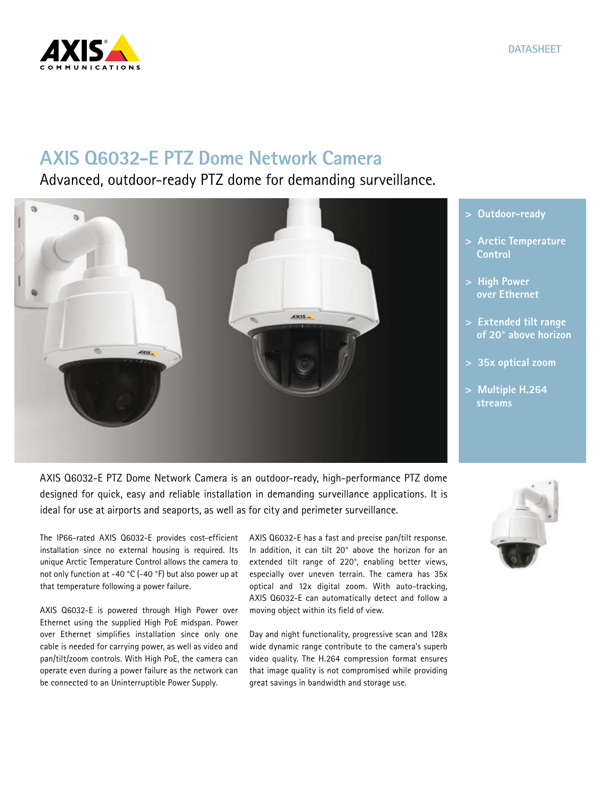

**DATASHEET**

## **AXIS Q6032-E PTZ Dome Network Camera**

Advanced, outdoor-ready PTZ dome for demanding surveillance.



AXIS Q6032-E PTZ Dome Network Camera is an outdoor-ready, high-performance PTZ dome designed for quick, easy and reliable installation in demanding surveillance applications. It is ideal for use at airports and seaports, as well as for city and perimeter surveillance.

The IP66-rated AXIS Q6032-E provides cost-efficient installation since no external housing is required. Its unique Arctic Temperature Control allows the camera to not only function at -40 °C (-40 °F) but also power up at that temperature following a power failure.

AXIS Q6032-E is powered through High Power over Ethernet using the supplied High PoE midspan. Power over Ethernet simplifies installation since only one cable is needed for carrying power, as well as video and pan/tilt/zoom controls. With High PoE, the camera can operate even during a power failure as the network can be connected to an Uninterruptible Power Supply.

AXIS Q6032-E has a fast and precise pan/tilt response. In addition, it can tilt 20° above the horizon for an extended tilt range of 220°, enabling better views, especially over uneven terrain. The camera has 35x optical and 12x digital zoom. With auto-tracking, AXIS Q6032-E can automatically detect and follow a moving object within its field of view.

Day and night functionality, progressive scan and 128x wide dynamic range contribute to the camera's superb video quality. The H.264 compression format ensures that image quality is not compromised while providing great savings in bandwidth and storage use.